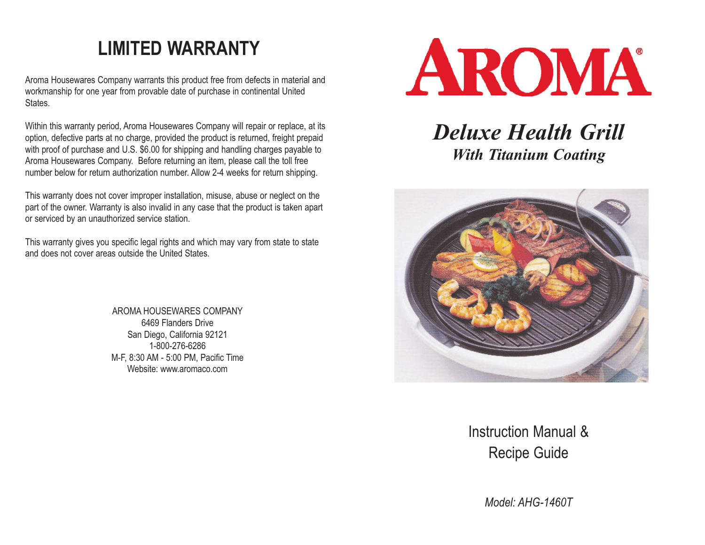### **LIMITED WARRANTY**

Aroma Housewares Company warrants this product free from defects in material and workmanship for one year from provable date of purchase in continental United States.

Within this warranty period, Aroma Housewares Company will repair or replace, at its option, defective parts at no charge, provided the product is returned, freight prepaid with proof of purchase and U.S. \$6.00 for shipping and handling charges payable to Aroma Housewares Company. Before returning an item, please call the toll free number below for return authorization number. Allow 2-4 weeks for return shipping.

This warranty does not cover improper installation, misuse, abuse or neglect on the part of the owner. Warranty is also invalid in any case that the product is taken apart or serviced by an unauthorized service station.

This warranty gives you specific legal rights and which may vary from state to state and does not cover areas outside the United States.

> AROMA HOUSEWARES COMPANY 6469 Flanders Drive San Diego, California 92121 1-800-276-6286 M-F, 8:30 AM - 5:00 PM, Pacific Time Website: www.aromaco.com



### *Deluxe Health Grill With Titanium Coating*



Instruction Manual & Recipe Guide

*Model: AHG-1460T*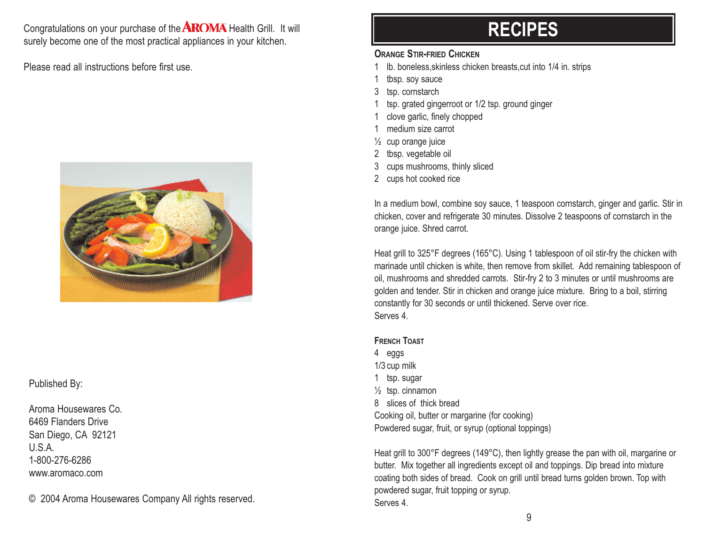Congratulations on your purchase of the  $AROMA$  Health Grill. It will surely become one of the most practical appliances in your kitchen.

Please read all instructions before first use.



Published By:

Aroma Housewares Co. 6469 Flanders Drive San Diego, CA 92121 U.S.A. 1-800-276-6286 www.aromaco.com

© 2004 Aroma Housewares Company All rights reserved.

### **RECIPES**

#### **ORANGE STIR-FRIED CHICKEN**

- Ib. boneless, skinless chicken breasts, cut into 1/4 in. strips
- 1 tbsp. soy sauce
- 3 tsp. cornstarch
- tsp. grated gingerroot or 1/2 tsp. ground ginger
- 1 clove garlic, finely chopped
- 1 medium size carrot
- ½ cup orange juice
- 2 tbsp. vegetable oil
- 3 cups mushrooms, thinly sliced
- 2 cups hot cooked rice

In a medium bowl, combine soy sauce, 1 teaspoon cornstarch, ginger and garlic. Stir in chicken, cover and refrigerate 30 minutes. Dissolve 2 teaspoons of cornstarch in the orange juice. Shred carrot.

Heat grill to 325°F degrees (165°C). Using 1 tablespoon of oil stir-fry the chicken with marinade until chicken is white, then remove from skillet. Add remaining tablespoon of oil, mushrooms and shredded carrots. Stir-fry 2 to 3 minutes or until mushrooms are golden and tender. Stir in chicken and orange juice mixture. Bring to a boil, stirring constantly for 30 seconds or until thickened. Serve over rice. Serves 4.

#### **FRENCH TOAST**

4 eggs 1/3 cup milk 1 tsp. sugar ½ tsp. cinnamon 8 slices of thick bread Cooking oil, butter or margarine (for cooking) Powdered sugar, fruit, or syrup (optional toppings)

Heat grill to 300°F degrees (149°C), then lightly grease the pan with oil, margarine or butter. Mix together all ingredients except oil and toppings. Dip bread into mixture coating both sides of bread. Cook on grill until bread turns golden brown. Top with powdered sugar, fruit topping or syrup. Serves 4.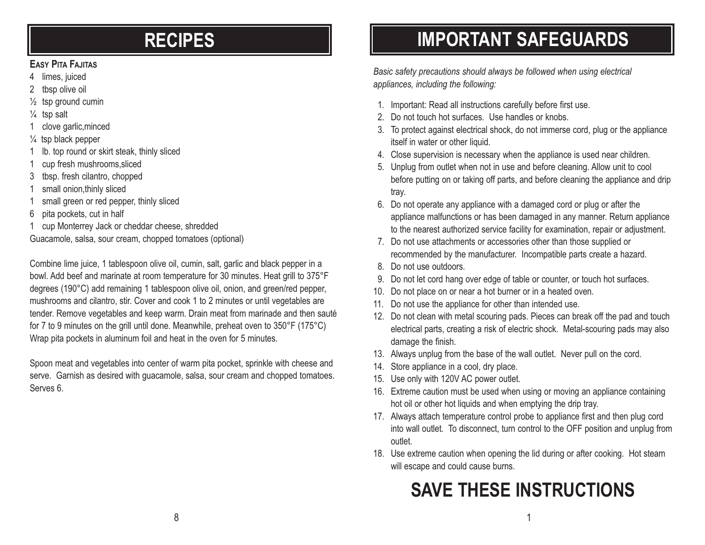### **RECIPES**

### **EASY PITA FAJITAS**

- 4 limes, juiced
- 2 tbsp olive oil
- ½ tsp ground cumin
- ¼ tsp salt
- 1 clove garlic,minced
- $\frac{1}{4}$  tsp black pepper
- 1 lb. top round or skirt steak, thinly sliced
- 1 cup fresh mushrooms,sliced
- 3 tbsp. fresh cilantro, chopped
- 1 small onion,thinly sliced
- 1 small green or red pepper, thinly sliced
- 6 pita pockets, cut in half
- 1 cup Monterrey Jack or cheddar cheese, shredded
- Guacamole, salsa, sour cream, chopped tomatoes (optional)

Combine lime juice, 1 tablespoon olive oil, cumin, salt, garlic and black pepper in a bowl. Add beef and marinate at room temperature for 30 minutes. Heat grill to 375°F degrees (190°C) add remaining 1 tablespoon olive oil, onion, and green/red pepper, mushrooms and cilantro, stir. Cover and cook 1 to 2 minutes or until vegetables are tender. Remove vegetables and keep warm. Drain meat from marinade and then sauté for 7 to 9 minutes on the grill until done. Meanwhile, preheat oven to 350°F (175°C) Wrap pita pockets in aluminum foil and heat in the oven for 5 minutes.

Spoon meat and vegetables into center of warm pita pocket, sprinkle with cheese and serve. Garnish as desired with guacamole, salsa, sour cream and chopped tomatoes. Serves 6.

# **IMPORTANT SAFEGUARDS**

*Basic safety precautions should always be followed when using electrical appliances, including the following:*

- 1. Important: Read all instructions carefully before first use.
- 2. Do not touch hot surfaces. Use handles or knobs.
- 3. To protect against electrical shock, do not immerse cord, plug or the appliance itself in water or other liquid.
- 4. Close supervision is necessary when the appliance is used near children.
- 5. Unplug from outlet when not in use and before cleaning. Allow unit to cool before putting on or taking off parts, and before cleaning the appliance and drip tray.
- 6. Do not operate any appliance with a damaged cord or plug or after the appliance malfunctions or has been damaged in any manner. Return appliance to the nearest authorized service facility for examination, repair or adjustment.
- 7. Do not use attachments or accessories other than those supplied or recommended by the manufacturer. Incompatible parts create a hazard.
- 8. Do not use outdoors.
- 9. Do not let cord hang over edge of table or counter, or touch hot surfaces.
- 10. Do not place on or near a hot burner or in a heated oven.
- 11. Do not use the appliance for other than intended use.
- 12. Do not clean with metal scouring pads. Pieces can break off the pad and touch electrical parts, creating a risk of electric shock. Metal-scouring pads may also damage the finish.
- 13. Always unplug from the base of the wall outlet. Never pull on the cord.
- 14. Store appliance in a cool, dry place.
- 15. Use only with 120V AC power outlet.
- 16. Extreme caution must be used when using or moving an appliance containing hot oil or other hot liquids and when emptying the drip tray.
- 17. Always attach temperature control probe to appliance first and then plug cord into wall outlet. To disconnect, turn control to the OFF position and unplug from outlet.
- 18. Use extreme caution when opening the lid during or after cooking. Hot steam will escape and could cause burns.

# **SAVE THESE INSTRUCTIONS**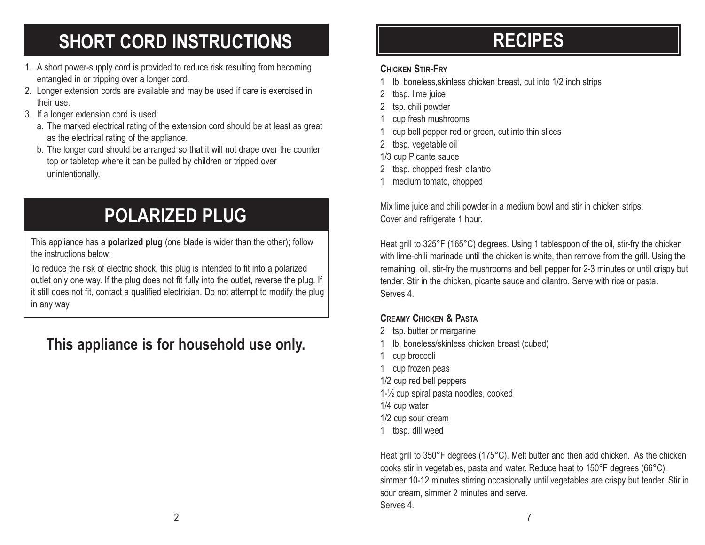# **SHORT CORD INSTRUCTIONS**

- 1. A short power-supply cord is provided to reduce risk resulting from becoming entangled in or tripping over a longer cord.
- 2. Longer extension cords are available and may be used if care is exercised in their use.
- 3. If a longer extension cord is used:
	- a. The marked electrical rating of the extension cord should be at least as great as the electrical rating of the appliance.
	- b. The longer cord should be arranged so that it will not drape over the counter top or tabletop where it can be pulled by children or tripped over unintentionally.

# **POLARIZED PLUG**

This appliance has a **polarized plug** (one blade is wider than the other); follow the instructions below:

To reduce the risk of electric shock, this plug is intended to fit into a polarized outlet only one way. If the plug does not fit fully into the outlet, reverse the plug. If it still does not fit, contact a qualified electrician. Do not attempt to modify the plug in any way.

### **This appliance is for household use only.**

## **RECIPES**

### **CHICKEN STIR-FRY**

- 1 lb. boneless,skinless chicken breast, cut into 1/2 inch strips
- 2 tbsp. lime juice
- 2 tsp. chili powder
- cup fresh mushrooms
- 1 cup bell pepper red or green, cut into thin slices
- 2 tbsp. vegetable oil

1/3 cup Picante sauce

- 2 tbsp. chopped fresh cilantro
- 1 medium tomato, chopped

Mix lime juice and chili powder in a medium bowl and stir in chicken strips. Cover and refrigerate 1 hour.

Heat grill to 325°F (165°C) degrees. Using 1 tablespoon of the oil, stir-fry the chicken with lime-chili marinade until the chicken is white, then remove from the grill. Using the remaining oil, stir-fry the mushrooms and bell pepper for 2-3 minutes or until crispy but tender. Stir in the chicken, picante sauce and cilantro. Serve with rice or pasta. Serves 4.

### **CREAMY CHICKEN & PASTA**

- 2 tsp. butter or margarine
- Ib. boneless/skinless chicken breast (cubed)
- 1 cup broccoli
- 1 cup frozen peas
- 1/2 cup red bell peppers
- 1-½ cup spiral pasta noodles, cooked
- 1/4 cup water
- 1/2 cup sour cream
- 1 tbsp. dill weed

Heat grill to 350°F degrees (175°C). Melt butter and then add chicken. As the chicken cooks stir in vegetables, pasta and water. Reduce heat to 150°F degrees (66°C), simmer 10-12 minutes stirring occasionally until vegetables are crispy but tender. Stir in sour cream, simmer 2 minutes and serve. Serves 4.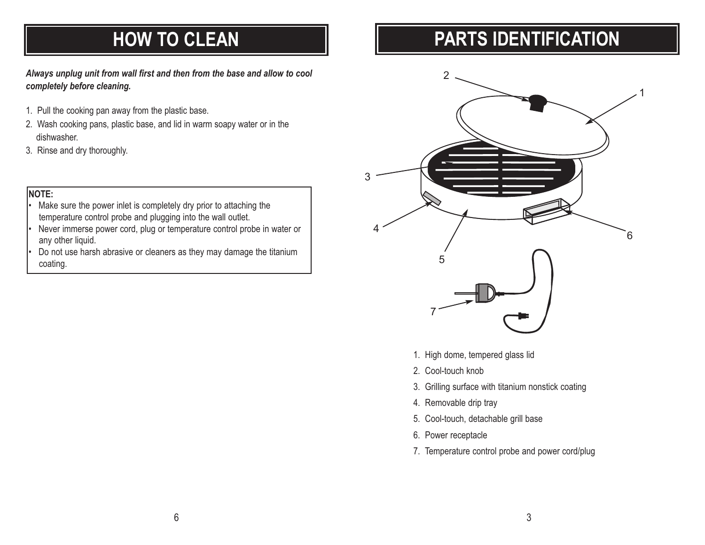### **HOW TO CLEAN**

*Always unplug unit from wall first and then from the base and allow to cool completely before cleaning.*

- 1. Pull the cooking pan away from the plastic base.
- 2. Wash cooking pans, plastic base, and lid in warm soapy water or in the dishwasher.
- 3. Rinse and dry thoroughly.

#### **NOTE:**

- Make sure the power inlet is completely dry prior to attaching the temperature control probe and plugging into the wall outlet.
- Never immerse power cord, plug or temperature control probe in water or any other liquid.
- Do not use harsh abrasive or cleaners as they may damage the titanium coating.

## **PARTS IDENTIFICATION**



- 1. High dome, tempered glass lid
- 2. Cool-touch knob
- 3. Grilling surface with titanium nonstick coating
- 4. Removable drip tray
- 5. Cool-touch, detachable grill base
- 6. Power receptacle
- 7. Temperature control probe and power cord/plug